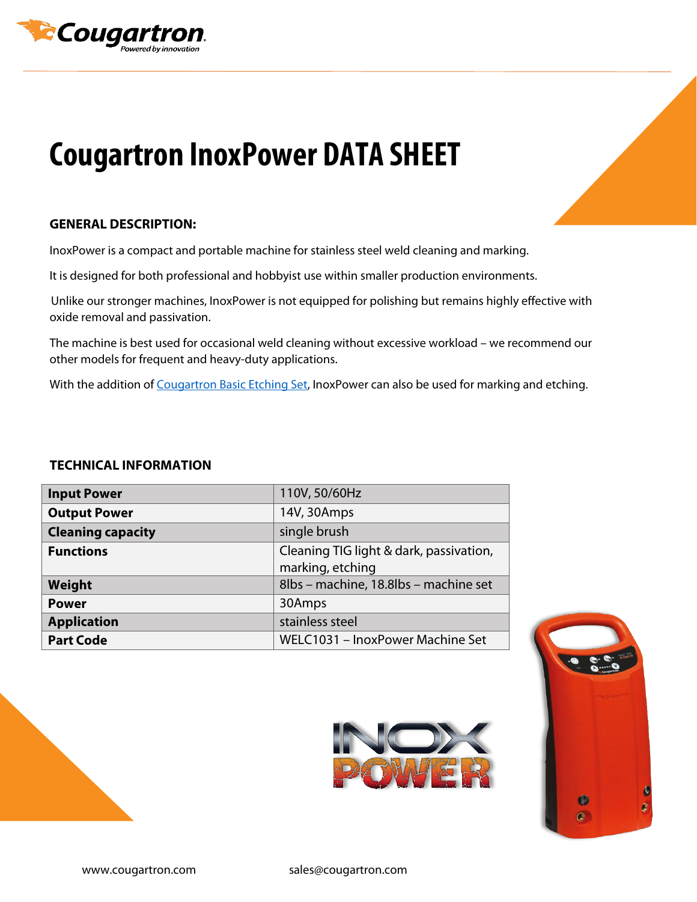

# **Cougartron InoxPower DATA SHEET**

### **GENERAL DESCRIPTION:**

InoxPower is a compact and portable machine for stainless steel weld cleaning and marking.

It is designed for both professional and hobbyist use within smaller production environments.

 Unlike our stronger machines, InoxPower is not equipped for polishing but remains highly effective with oxide removal and passivation.

The machine is best used for occasional weld cleaning without excessive workload – we recommend our other models for frequent and heavy-duty applications.

With the addition of [Cougartron Basic Etching Set,](https://cougartron.com/products/basic-etching-set/) InoxPower can also be used for marking and etching.

#### **TECHNICAL INFORMATION**

| <b>Input Power</b>       | 110V, 50/60Hz                                               |
|--------------------------|-------------------------------------------------------------|
| <b>Output Power</b>      | 14V, 30Amps                                                 |
| <b>Cleaning capacity</b> | single brush                                                |
| <b>Functions</b>         | Cleaning TIG light & dark, passivation,<br>marking, etching |
| Weight                   | 8lbs - machine, 18.8lbs - machine set                       |
| <b>Power</b>             | 30Amps                                                      |
| <b>Application</b>       | stainless steel                                             |
| <b>Part Code</b>         | WELC1031 - InoxPower Machine Set                            |